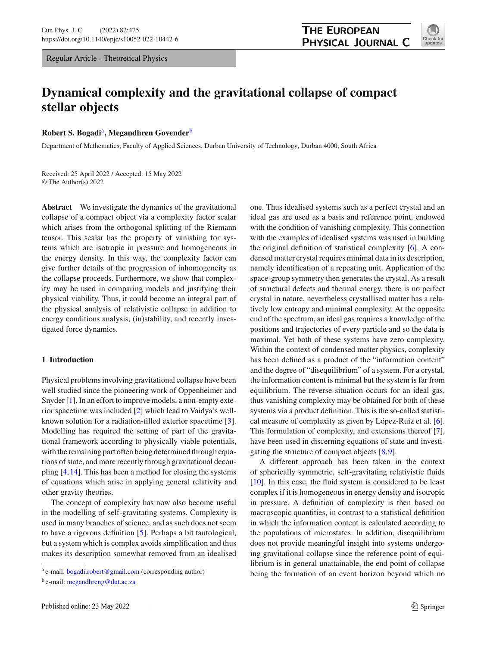Regular Article - Theoretical Physics

# **Dynamical complexity and the gravitational collapse of compact stellar objects**

**Robert S. Bogadi**a**, Megandhren Govender**<sup>b</sup>

Department of Mathematics, Faculty of Applied Sciences, Durban University of Technology, Durban 4000, South Africa

Received: 25 April 2022 / Accepted: 15 May 2022 © The Author(s) 2022

**Abstract** We investigate the dynamics of the gravitational collapse of a compact object via a complexity factor scalar which arises from the orthogonal splitting of the Riemann tensor. This scalar has the property of vanishing for systems which are isotropic in pressure and homogeneous in the energy density. In this way, the complexity factor can give further details of the progression of inhomogeneity as the collapse proceeds. Furthermore, we show that complexity may be used in comparing models and justifying their physical viability. Thus, it could become an integral part of the physical analysis of relativistic collapse in addition to energy conditions analysis, (in)stability, and recently investigated force dynamics.

## **1 Introduction**

Physical problems involving gravitational collapse have been well studied since the pioneering work of Oppenheimer and Snyder [\[1](#page-7-0)]. In an effort to improve models, a non-empty exterior spacetime was included [\[2\]](#page-7-1) which lead to Vaidya's wellknown solution for a radiation-filled exterior spacetime [\[3](#page-7-2)]. Modelling has required the setting of part of the gravitational framework according to physically viable potentials, with the remaining part often being determined through equations of state, and more recently through gravitational decoupling [\[4](#page-7-3)[,14](#page-7-4)]. This has been a method for closing the systems of equations which arise in applying general relativity and other gravity theories.

The concept of complexity has now also become useful in the modelling of self-gravitating systems. Complexity is used in many branches of science, and as such does not seem to have a rigorous definition [\[5\]](#page-7-5). Perhaps a bit tautological, but a system which is complex avoids simplification and thus makes its description somewhat removed from an idealised

one. Thus idealised systems such as a perfect crystal and an ideal gas are used as a basis and reference point, endowed with the condition of vanishing complexity. This connection with the examples of idealised systems was used in building the original definition of statistical complexity [\[6\]](#page-7-6). A condensed matter crystal requires minimal data in its description, namely identification of a repeating unit. Application of the space-group symmetry then generates the crystal. As a result of structural defects and thermal energy, there is no perfect crystal in nature, nevertheless crystallised matter has a relatively low entropy and minimal complexity. At the opposite end of the spectrum, an ideal gas requires a knowledge of the positions and trajectories of every particle and so the data is maximal. Yet both of these systems have zero complexity. Within the context of condensed matter physics, complexity has been defined as a product of the "information content" and the degree of "disequilibrium" of a system. For a crystal, the information content is minimal but the system is far from equilibrium. The reverse situation occurs for an ideal gas, thus vanishing complexity may be obtained for both of these

systems via a product definition. This is the so-called statistical measure of complexity as given by López-Ruiz et al. [\[6](#page-7-6)]. This formulation of complexity, and extensions thereof [\[7](#page-7-7)], have been used in discerning equations of state and investigating the structure of compact objects [\[8,](#page-7-8)[9\]](#page-7-9).

A different approach has been taken in the context of spherically symmetric, self-gravitating relativistic fluids [\[10](#page-7-10)]. In this case, the fluid system is considered to be least complex if it is homogeneous in energy density and isotropic in pressure. A definition of complexity is then based on macroscopic quantities, in contrast to a statistical definition in which the information content is calculated according to the populations of microstates. In addition, disequilibrium does not provide meaningful insight into systems undergoing gravitational collapse since the reference point of equilibrium is in general unattainable, the end point of collapse being the formation of an event horizon beyond which no



<sup>a</sup> e-mail: [bogadi.robert@gmail.com](mailto:bogadi.robert@gmail.com) (corresponding author)

<sup>b</sup> e-mail: [megandhreng@dut.ac.za](mailto:megandhreng@dut.ac.za)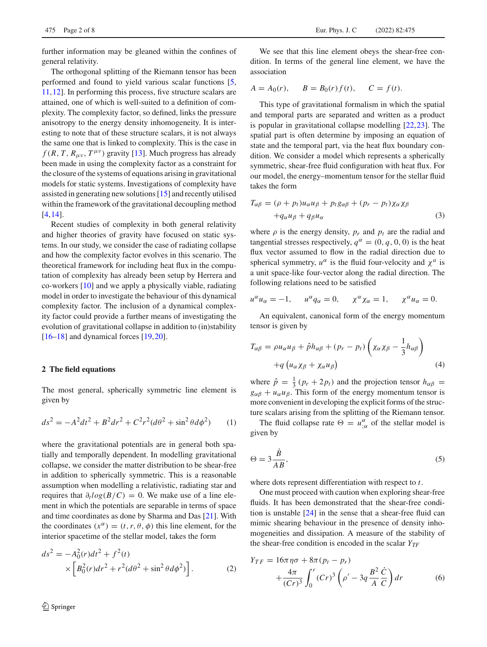further information may be gleaned within the confines of general relativity.

The orthogonal splitting of the Riemann tensor has been performed and found to yield various scalar functions [\[5,](#page-7-5) [11](#page-7-11)[,12](#page-7-12)]. In performing this process, five structure scalars are attained, one of which is well-suited to a definition of complexity. The complexity factor, so defined, links the pressure anisotropy to the energy density inhomogeneity. It is interesting to note that of these structure scalars, it is not always the same one that is linked to complexity. This is the case in  $f(R, T, R_{\mu\nu}, T^{\mu\nu})$  gravity [\[13](#page-7-13)]. Much progress has already been made in using the complexity factor as a constraint for the closure of the systems of equations arising in gravitational models for static systems. Investigations of complexity have assisted in generating new solutions [\[15](#page-7-14)] and recently utilised within the framework of the gravitational decoupling method [\[4](#page-7-3),[14\]](#page-7-4).

Recent studies of complexity in both general relativity and higher theories of gravity have focused on static systems. In our study, we consider the case of radiating collapse and how the complexity factor evolves in this scenario. The theoretical framework for including heat flux in the computation of complexity has already been setup by Herrera and co-workers [\[10\]](#page-7-10) and we apply a physically viable, radiating model in order to investigate the behaviour of this dynamical complexity factor. The inclusion of a dynamical complexity factor could provide a further means of investigating the evolution of gravitational collapse in addition to (in)stability  $[16–18]$  $[16–18]$  $[16–18]$  and dynamical forces  $[19,20]$  $[19,20]$  $[19,20]$ .

# <span id="page-1-1"></span>**2 The field equations**

The most general, spherically symmetric line element is given by

$$
ds^{2} = -A^{2}dt^{2} + B^{2}dr^{2} + C^{2}r^{2}(d\theta^{2} + \sin^{2}\theta d\phi^{2})
$$
 (1)

where the gravitational potentials are in general both spatially and temporally dependent. In modelling gravitational collapse, we consider the matter distribution to be shear-free in addition to spherically symmetric. This is a reasonable assumption when modelling a relativistic, radiating star and requires that  $\partial_t log(B/C) = 0$ . We make use of a line element in which the potentials are separable in terms of space and time coordinates as done by Sharma and Das [\[21](#page-7-19)]. With the coordinates  $(x^{\alpha}) = (t, r, \theta, \phi)$  this line element, for the interior spacetime of the stellar model, takes the form

<span id="page-1-0"></span>
$$
ds^{2} = -A_{0}^{2}(r)dt^{2} + f^{2}(t)
$$
  
 
$$
\times \left[ B_{0}^{2}(r)dr^{2} + r^{2}(d\theta^{2} + \sin^{2}\theta d\phi^{2}) \right].
$$
 (2)

We see that this line element obeys the shear-free condition. In terms of the general line element, we have the association

$$
A = A_0(r)
$$
,  $B = B_0(r) f(t)$ ,  $C = f(t)$ .

This type of gravitational formalism in which the spatial and temporal parts are separated and written as a product is popular in gravitational collapse modelling [\[22,](#page-7-20)[23\]](#page-7-21). The spatial part is often determine by imposing an equation of state and the temporal part, via the heat flux boundary condition. We consider a model which represents a spherically symmetric, shear-free fluid configuration with heat flux. For our model, the energy–momentum tensor for the stellar fluid takes the form

$$
T_{\alpha\beta} = (\rho + p_t)u_{\alpha}u_{\beta} + p_t g_{\alpha\beta} + (p_r - p_t)\chi_{\alpha}\chi_{\beta}
$$
  
+ $q_{\alpha}u_{\beta} + q_{\beta}u_{\alpha}$  (3)

where  $\rho$  is the energy density,  $p_r$  and  $p_t$  are the radial and tangential stresses respectively,  $q^{\alpha} = (0, q, 0, 0)$  is the heat flux vector assumed to flow in the radial direction due to spherical symmetry,  $u^{\alpha}$  is the fluid four-velocity and  $\chi^{a}$  is a unit space-like four-vector along the radial direction. The following relations need to be satisfied

$$
u^{\alpha}u_{\alpha} = -1, \quad u^{\alpha}q_{\alpha} = 0, \quad \chi^{\alpha}\chi_{\alpha} = 1, \quad \chi^{\alpha}u_{\alpha} = 0.
$$

An equivalent, canonical form of the energy momentum tensor is given by

$$
T_{\alpha\beta} = \rho u_{\alpha} u_{\beta} + \hat{p} h_{\alpha\beta} + (p_r - p_t) \left( \chi_{\alpha} \chi_{\beta} - \frac{1}{3} h_{\alpha\beta} \right)
$$
  
+ $q \left( u_{\alpha} \chi_{\beta} + \chi_{\alpha} u_{\beta} \right)$  (4)

where  $\hat{p} = \frac{1}{3} (p_r + 2p_t)$  and the projection tensor  $h_{\alpha\beta}$  $g_{\alpha\beta} + u_{\alpha}u_{\beta}$ . This form of the energy momentum tensor is more convenient in developing the explicit forms of the structure scalars arising from the splitting of the Riemann tensor.

The fluid collapse rate  $\Theta = u^{\alpha}_{;\alpha}$  of the stellar model is given by

$$
\Theta = 3\frac{\dot{B}}{AB},\tag{5}
$$

where dots represent differentiation with respect to *t*.

One must proceed with caution when exploring shear-free fluids. It has been demonstrated that the shear-free condition is unstable [\[24\]](#page-7-22) in the sense that a shear-free fluid can mimic shearing behaviour in the presence of density inhomogeneities and dissipation. A measure of the stability of the shear-free condition is encoded in the scalar  $Y_{TF}$ 

$$
Y_{TF} = 16\pi \eta \sigma + 8\pi (p_t - p_r) + \frac{4\pi}{(Cr)^3} \int_0^r (Cr)^3 \left( \rho' - 3q \frac{B^2}{A} \frac{\dot{C}}{C} \right) dr
$$
 (6)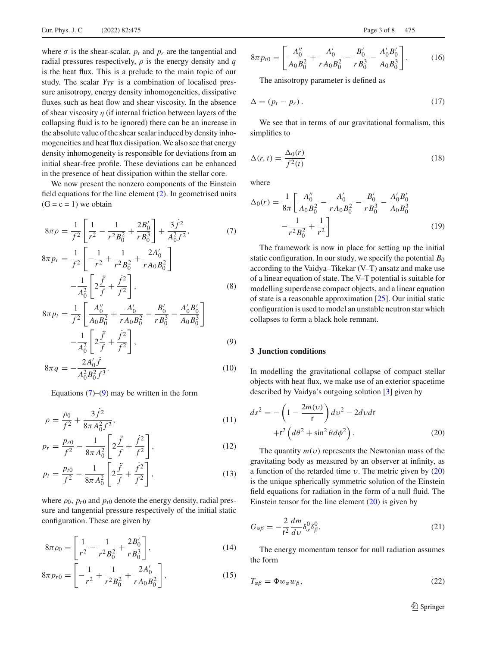where  $\sigma$  is the shear-scalar,  $p_t$  and  $p_r$  are the tangential and radial pressures respectively,  $\rho$  is the energy density and  $q$ is the heat flux. This is a prelude to the main topic of our study. The scalar  $Y_{TF}$  is a combination of localised pressure anisotropy, energy density inhomogeneities, dissipative fluxes such as heat flow and shear viscosity. In the absence of shear viscosity  $\eta$  (if internal friction between layers of the collapsing fluid is to be ignored) there can be an increase in the absolute value of the shear scalar induced by density inhomogeneities and heat flux dissipation. We also see that energy density inhomogeneity is responsible for deviations from an initial shear-free profile. These deviations can be enhanced in the presence of heat dissipation within the stellar core.

We now present the nonzero components of the Einstein field equations for the line element [\(2\)](#page-1-0). In geometrised units  $(G = c = 1)$  we obtain

<span id="page-2-0"></span>
$$
8\pi\rho = \frac{1}{f^2} \left[ \frac{1}{r^2} - \frac{1}{r^2 B_0^2} + \frac{2B_0'}{r B_0^3} \right] + \frac{3\dot{f}^2}{A_0^2 f^2},\tag{7}
$$

$$
8\pi p_r = \frac{1}{f^2} \left[ -\frac{1}{r^2} + \frac{1}{r^2 B_0^2} + \frac{2A_0'}{r A_0 B_0^2} \right] - \frac{1}{A_0^2} \left[ 2\frac{\ddot{f}}{f} + \frac{\dot{f}^2}{f^2} \right],
$$
 (8)

$$
8\pi p_t = \frac{1}{f^2} \left[ \frac{A_0''}{A_0 B_0^2} + \frac{A_0'}{r A_0 B_0^2} - \frac{B_0'}{r B_0^3} - \frac{A_0' B_0'}{A_0 B_0^3} \right] - \frac{1}{A_0^2} \left[ 2\frac{\ddot{f}}{f} + \frac{\dot{f}^2}{f^2} \right],
$$
\n(9)

$$
8\pi q = -\frac{2A_0'\hat{f}}{A_0^2B_0^2f^3}.
$$
\n(10)

Equations  $(7)$ – $(9)$  may be written in the form

<span id="page-2-4"></span>
$$
\rho = \frac{\rho_0}{f^2} + \frac{3f^2}{8\pi A_0^2 f^2},\tag{11}
$$

$$
p_r = \frac{p_{r0}}{f^2} - \frac{1}{8\pi A_0^2} \left[ 2\frac{\ddot{f}}{f} + \frac{\dot{f}^2}{f^2} \right],\tag{12}
$$

$$
p_t = \frac{p_{t0}}{f^2} - \frac{1}{8\pi A_0^2} \left[ 2\frac{\ddot{f}}{f} + \frac{\dot{f}^2}{f^2} \right],\tag{13}
$$

where  $\rho_0$ ,  $p_{r0}$  and  $p_{t0}$  denote the energy density, radial pressure and tangential pressure respectively of the initial static configuration. These are given by

$$
8\pi\rho_0 = \left[\frac{1}{r^2} - \frac{1}{r^2 B_0^2} + \frac{2B_0'}{r B_0^3}\right],\tag{14}
$$

$$
8\pi p_{r0} = \left[ -\frac{1}{r^2} + \frac{1}{r^2 B_0^2} + \frac{2A_0'}{r A_0 B_0^2} \right],
$$
 (15)

$$
8\pi p_{t0} = \left[ \frac{A_0''}{A_0 B_0^2} + \frac{A_0'}{r A_0 B_0^2} - \frac{B_0'}{r B_0^3} - \frac{A_0' B_0'}{A_0 B_0^3} \right].
$$
 (16)

The anisotropy parameter is defined as

$$
\Delta = (p_t - p_r). \tag{17}
$$

We see that in terms of our gravitational formalism, this simplifies to

$$
\Delta(r,t) = \frac{\Delta_0(r)}{f^2(t)}\tag{18}
$$

where

$$
\Delta_0(r) = \frac{1}{8\pi} \left[ \frac{A_0''}{A_0 B_0^2} - \frac{A_0'}{r A_0 B_0^2} - \frac{B_0'}{r B_0^3} - \frac{A_0' B_0'}{A_0 B_0^3} - \frac{1}{r^2 B_0^2} + \frac{1}{r^2} \right]
$$
(19)

The framework is now in place for setting up the initial static configuration. In our study, we specify the potential  $B_0$ according to the Vaidya–Tikekar (V–T) ansatz and make use of a linear equation of state. The V–T potential is suitable for modelling superdense compact objects, and a linear equation of state is a reasonable approximation [\[25\]](#page-7-23). Our initial static configuration is used to model an unstable neutron star which collapses to form a black hole remnant.

# **3 Junction conditions**

In modelling the gravitational collapse of compact stellar objects with heat flux, we make use of an exterior spacetime described by Vaidya's outgoing solution [\[3\]](#page-7-2) given by

<span id="page-2-1"></span>
$$
ds^{2} = -\left(1 - \frac{2m(v)}{r}\right)dv^{2} - 2dvdr
$$

$$
+r^{2}\left(d\theta^{2} + \sin^{2}\theta d\phi^{2}\right).
$$
 (20)

The quantity  $m(v)$  represents the Newtonian mass of the gravitating body as measured by an observer at infinity, as a function of the retarded time  $v$ . The metric given by  $(20)$ is the unique spherically symmetric solution of the Einstein field equations for radiation in the form of a null fluid. The Einstein tensor for the line element  $(20)$  is given by

<span id="page-2-2"></span>
$$
G_{\alpha\beta} = -\frac{2}{\mathsf{r}^2} \frac{dm}{d\upsilon} \delta^0_{\alpha} \delta^0_{\beta}.
$$
 (21)

<span id="page-2-3"></span>The energy momentum tensor for null radiation assumes the form

$$
T_{\alpha\beta} = \Phi w_{\alpha} w_{\beta},\tag{22}
$$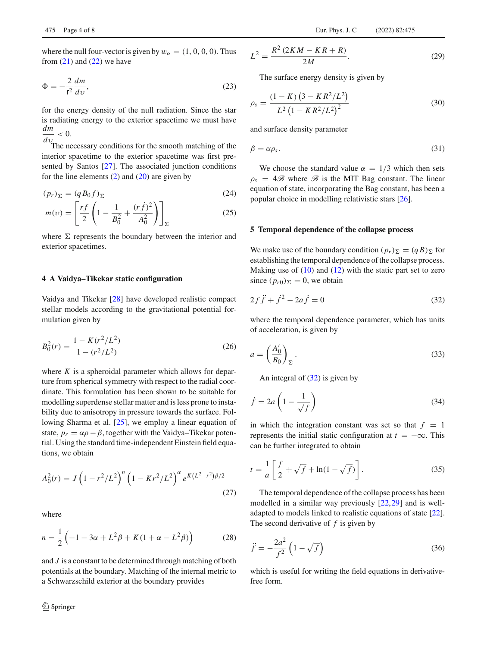where the null four-vector is given by  $w_{\alpha} = (1, 0, 0, 0)$ . Thus from  $(21)$  and  $(22)$  we have

$$
\Phi = -\frac{2}{r^2} \frac{dm}{dv},\tag{23}
$$

for the energy density of the null radiation. Since the star is radiating energy to the exterior spacetime we must have *dm*

 $\frac{du}{dv}$  < 0.<br>The necessary conditions for the smooth matching of the interior spacetime to the exterior spacetime was first presented by Santos [\[27\]](#page-7-24). The associated junction conditions for the line elements  $(2)$  and  $(20)$  are given by

<span id="page-3-1"></span>
$$
(p_r)_{\Sigma} = (q B_0 f)_{\Sigma} \tag{24}
$$

$$
m(v) = \left[\frac{rf}{2}\left(1 - \frac{1}{B_0^2} + \frac{(r\dot{f})^2}{A_0^2}\right)\right]_{\Sigma}
$$
 (25)

where  $\Sigma$  represents the boundary between the interior and exterior spacetimes.

#### **4 A Vaidya–Tikekar static configuration**

Vaidya and Tikekar [\[28](#page-7-25)] have developed realistic compact stellar models according to the gravitational potential formulation given by

$$
B_0^2(r) = \frac{1 - K(r^2/L^2)}{1 - (r^2/L^2)}
$$
\n(26)

where *K* is a spheroidal parameter which allows for departure from spherical symmetry with respect to the radial coordinate. This formulation has been shown to be suitable for modelling superdense stellar matter and is less prone to instability due to anisotropy in pressure towards the surface. Following Sharma et al. [\[25](#page-7-23)], we employ a linear equation of state,  $p_r = \alpha \rho - \beta$ , together with the Vaidya–Tikekar potential. Using the standard time-independent Einstein field equations, we obtain

$$
A_0^2(r) = J \left( 1 - r^2 / L^2 \right)^n \left( 1 - Kr^2 / L^2 \right)^{\alpha} e^{K (L^2 - r^2) \beta / 2}
$$
\n(27)

where

$$
n = \frac{1}{2} \left( -1 - 3\alpha + L^2 \beta + K(1 + \alpha - L^2 \beta) \right)
$$
 (28)

and *J* is a constant to be determined through matching of both potentials at the boundary. Matching of the internal metric to a Schwarzschild exterior at the boundary provides

$$
L^{2} = \frac{R^{2} (2KM - KR + R)}{2M}.
$$
 (29)

The surface energy density is given by

$$
\rho_s = \frac{(1 - K) (3 - KR^2/L^2)}{L^2 (1 - KR^2/L^2)^2}
$$
\n(30)

and surface density parameter

$$
\beta = \alpha \rho_s. \tag{31}
$$

We choose the standard value  $\alpha = 1/3$  which then sets  $\rho_s = 4\mathscr{B}$  where  $\mathscr{B}$  is the MIT Bag constant. The linear equation of state, incorporating the Bag constant, has been a popular choice in modelling relativistic stars [\[26](#page-7-26)].

#### **5 Temporal dependence of the collapse process**

<span id="page-3-0"></span>We make use of the boundary condition  $(p_r)_{\Sigma} = (qB)_{\Sigma}$  for establishing the temporal dependence of the collapse process. Making use of  $(10)$  and  $(12)$  with the static part set to zero since  $(p_{r0})_{\Sigma} = 0$ , we obtain

$$
2f\ddot{f} + \dot{f}^2 - 2a\dot{f} = 0\tag{32}
$$

where the temporal dependence parameter, which has units of acceleration, is given by

$$
a = \left(\frac{A_0'}{B_0}\right)_{\Sigma}.
$$
\n(33)

An integral of  $(32)$  is given by

$$
\dot{f} = 2a \left( 1 - \frac{1}{\sqrt{f}} \right) \tag{34}
$$

in which the integration constant was set so that  $f = 1$ represents the initial static configuration at  $t = -\infty$ . This can be further integrated to obtain

$$
t = \frac{1}{a} \left[ \frac{f}{2} + \sqrt{f} + \ln(1 - \sqrt{f}) \right].
$$
 (35)

The temporal dependence of the collapse process has been modelled in a similar way previously [\[22,](#page-7-20)[29\]](#page-7-27) and is welladapted to models linked to realistic equations of state [\[22](#page-7-20)]. The second derivative of *f* is given by

$$
\ddot{f} = -\frac{2a^2}{f^2} \left( 1 - \sqrt{f} \right) \tag{36}
$$

which is useful for writing the field equations in derivativefree form.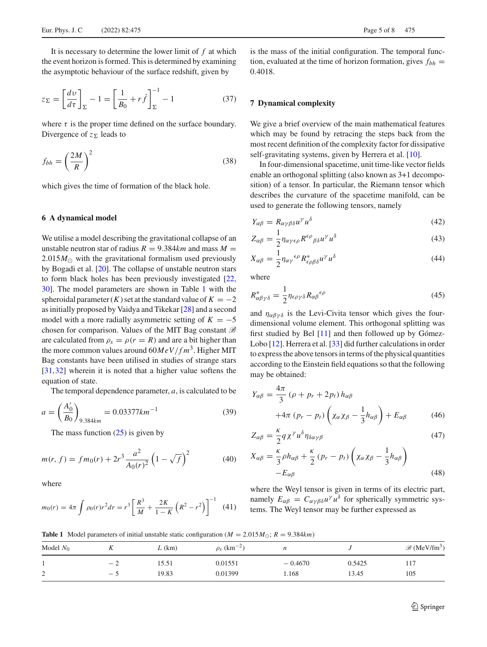It is necessary to determine the lower limit of *f* at which the event horizon is formed. This is determined by examining the asymptotic behaviour of the surface redshift, given by

$$
z_{\Sigma} = \left[\frac{dv}{d\tau}\right]_{\Sigma} - 1 = \left[\frac{1}{B_0} + r\dot{f}\right]_{\Sigma}^{-1} - 1\tag{37}
$$

where  $\tau$  is the proper time defined on the surface boundary. Divergence of  $z_{\Sigma}$  leads to

$$
f_{bh} = \left(\frac{2M}{R}\right)^2\tag{38}
$$

which gives the time of formation of the black hole.

## **6 A dynamical model**

We utilise a model describing the gravitational collapse of an unstable neutron star of radius  $R = 9.384km$  and mass  $M =$  $2.015M_{\odot}$  with the gravitational formalism used previously by Bogadi et al. [\[20\]](#page-7-18). The collapse of unstable neutron stars to form black holes has been previously investigated [\[22,](#page-7-20) [30\]](#page-7-28). The model parameters are shown in Table [1](#page-4-0) with the spheroidal parameter  $(K)$  set at the standard value of  $K = -2$ as initially proposed by Vaidya and Tikekar [\[28](#page-7-25)] and a second model with a more radially asymmetric setting of  $K = -5$ chosen for comparison. Values of the MIT Bag constant *B* are calculated from  $\rho_s = \rho(r = R)$  and are a bit higher than the more common values around  $60MeV/fm^3$ . Higher MIT Bag constants have been utilised in studies of strange stars [\[31](#page-7-29),[32\]](#page-7-30) wherein it is noted that a higher value softens the equation of state.

The temporal dependence parameter, *a*, is calculated to be

$$
a = \left(\frac{A'_0}{B_0}\right)_{9.384km} = 0.03377km^{-1}
$$
 (39)

The mass function  $(25)$  is given by

$$
m(r, f) = fm_0(r) + 2r^3 \frac{a^2}{A_0(r)^2} \left(1 - \sqrt{f}\right)^2 \tag{40}
$$

where

$$
m_0(r) = 4\pi \int \rho_0(r)r^2 dr = r^3 \left[ \frac{R^3}{M} + \frac{2K}{1-K} \left( R^2 - r^2 \right) \right]^{-1} \tag{41}
$$

is the mass of the initial configuration. The temporal function, evaluated at the time of horizon formation, gives  $f_{bh}$  = 0.4018.

## **7 Dynamical complexity**

We give a brief overview of the main mathematical features which may be found by retracing the steps back from the most recent definition of the complexity factor for dissipative self-gravitating systems, given by Herrera et al. [\[10\]](#page-7-10).

In four-dimensional spacetime, unit time-like vector fields enable an orthogonal splitting (also known as 3+1 decomposition) of a tensor. In particular, the Riemann tensor which describes the curvature of the spacetime manifold, can be used to generate the following tensors, namely

<span id="page-4-1"></span>
$$
Y_{\alpha\beta} = R_{\alpha\gamma\beta\delta}u^{\gamma}u^{\delta} \tag{42}
$$

$$
Z_{\alpha\beta} = \frac{1}{2} \eta_{\alpha\gamma\epsilon\rho} R^{\epsilon\rho}{}_{\beta\delta} u^{\gamma} u^{\delta} \tag{43}
$$

$$
X_{\alpha\beta} = \frac{1}{2} \eta_{\alpha\gamma}^{\epsilon\rho} R_{\epsilon\rho\beta\delta}^* u^{\gamma} u^{\delta}
$$
 (44)

where

$$
R^*_{\alpha\beta\gamma\delta} = \frac{1}{2} \eta_{\epsilon\rho\gamma\delta} R_{\alpha\beta}^{\epsilon\rho} \tag{45}
$$

and  $\eta_{\alpha\beta\gamma\delta}$  is the Levi-Civita tensor which gives the fourdimensional volume element. This orthogonal splitting was first studied by Bel  $[11]$  $[11]$  and then followed up by Gómez-Lobo [\[12](#page-7-12)]. Herrera et al. [\[33\]](#page-7-31) did further calculations in order to express the above tensors in terms of the physical quantities according to the Einstein field equations so that the following may be obtained:

<span id="page-4-2"></span>
$$
Y_{\alpha\beta} = \frac{4\pi}{3} (\rho + p_r + 2p_t) h_{\alpha\beta}
$$
  
+4\pi (p\_r - p\_t) \left( \chi\_{\alpha} \chi\_{\beta} - \frac{1}{3} h\_{\alpha\beta} \right) + E\_{\alpha\beta} (46)

$$
Z_{\alpha\beta} = \frac{\kappa}{2} q \chi^{\gamma} u^{\delta} \eta_{\delta\alpha\gamma\beta} \tag{47}
$$

$$
X_{\alpha\beta} = \frac{\kappa}{3}\rho h_{\alpha\beta} + \frac{\kappa}{2}(p_r - p_t) \left(\chi_{\alpha}\chi_{\beta} - \frac{1}{3}h_{\alpha\beta}\right)
$$
  
- $E_{\alpha\beta}$  (48)

where the Weyl tensor is given in terms of its electric part, namely  $E_{\alpha\beta} = C_{\alpha\gamma\beta\delta}u^{\gamma}u^{\delta}$  for spherically symmetric systems. The Weyl tensor may be further expressed as

<span id="page-4-0"></span>**Table 1** Model parameters of initial unstable static configuration ( $M = 2.015 M_{\odot}$ ;  $R = 9.384 km$ )

| Model $N_0$ |     | $L$ (km) | $\rho_s$ (km <sup>-2)</sup> |           |        | $\mathscr{B}$ (MeV/fm <sup>3</sup> ) |
|-------------|-----|----------|-----------------------------|-----------|--------|--------------------------------------|
|             | — 1 | 15.51    | 0.01551                     | $-0.4670$ | 0.5425 | 117                                  |
| ∠           | — 1 | 19.83    | 0.01399                     | 1.168     | 13.45  | 105                                  |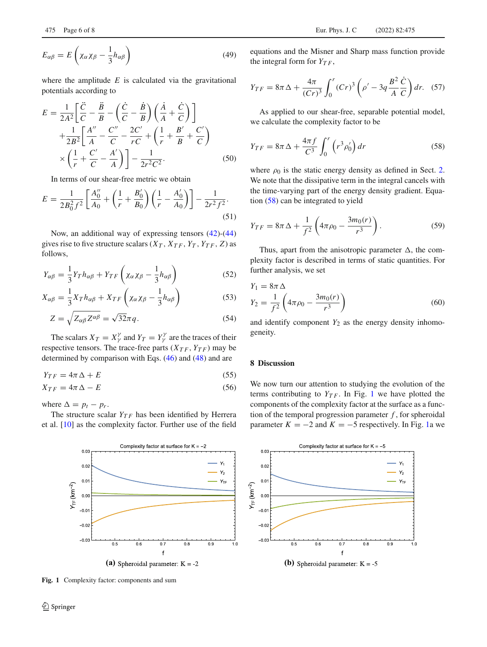$$
E_{\alpha\beta} = E\left(\chi_{\alpha}\chi_{\beta} - \frac{1}{3}h_{\alpha\beta}\right)
$$
 (49)

where the amplitude  $E$  is calculated via the gravitational potentials according to

$$
E = \frac{1}{2A^2} \left[ \frac{\ddot{C}}{C} - \frac{\ddot{B}}{B} - \left( \frac{\dot{C}}{C} - \frac{\dot{B}}{B} \right) \left( \frac{\dot{A}}{A} + \frac{\dot{C}}{C} \right) \right] + \frac{1}{2B^2} \left[ \frac{A''}{A} - \frac{C''}{C} - \frac{2C'}{rC} + \left( \frac{1}{r} + \frac{B'}{B} + \frac{C'}{C} \right) \right] \times \left( \frac{1}{r} + \frac{C'}{C} - \frac{A'}{A} \right) \right] - \frac{1}{2r^2 C^2}.
$$
 (50)

In terms of our shear-free metric we obtain

$$
E = \frac{1}{2B_0^2 f^2} \left[ \frac{A_0''}{A_0} + \left( \frac{1}{r} + \frac{B_0'}{B_0} \right) \left( \frac{1}{r} - \frac{A_0'}{A_0} \right) \right] - \frac{1}{2r^2 f^2}.
$$
\n(51)

Now, an additional way of expressing tensors [\(42\)](#page-4-1)-[\(44\)](#page-4-1) gives rise to five structure scalars  $(X_T, X_{TF}, Y_T, Y_{TF}, Z)$  as follows,

$$
Y_{\alpha\beta} = \frac{1}{3} Y_T h_{\alpha\beta} + Y_{TF} \left( \chi_\alpha \chi_\beta - \frac{1}{3} h_{\alpha\beta} \right)
$$
 (52)

$$
X_{\alpha\beta} = \frac{1}{3} X_T h_{\alpha\beta} + X_{TF} \left( \chi_{\alpha} \chi_{\beta} - \frac{1}{3} h_{\alpha\beta} \right)
$$
(53)

$$
Z = \sqrt{Z_{\alpha\beta} Z^{\alpha\beta}} = \sqrt{32}\pi q.
$$
 (54)

The scalars  $X_T = X_Y^{\gamma}$  and  $Y_T = Y_Y^{\gamma}$  are the traces of their respective tensors. The trace-free parts  $(X_{TF}, Y_{TF})$  may be determined by comparison with Eqs. [\(46\)](#page-4-2) and [\(48\)](#page-4-2) and are

$$
Y_{TF} = 4\pi\,\Delta + E\tag{55}
$$

$$
X_{TF} = 4\pi\,\Delta - E\tag{56}
$$

where  $\Delta = p_t - p_r$ .

The structure scalar  $Y_{TF}$  has been identified by Herrera et al. [\[10](#page-7-10)] as the complexity factor. Further use of the field



<span id="page-5-1"></span>**Fig. 1** Complexity factor: components and sum

equations and the Misner and Sharp mass function provide the integral form for  $Y_{TF}$ ,

$$
Y_{TF} = 8\pi \Delta + \frac{4\pi}{(Cr)^3} \int_0^r (Cr)^3 \left(\rho' - 3q \frac{B^2}{A} \frac{\dot{C}}{C}\right) dr. \tag{57}
$$

<span id="page-5-0"></span>As applied to our shear-free, separable potential model, we calculate the complexity factor to be

$$
Y_{TF} = 8\pi\,\Delta + \frac{4\pi f}{C^3} \int_0^r \left(r^3 \rho'_0\right) dr\tag{58}
$$

where  $\rho_0$  is the static energy density as defined in Sect. [2.](#page-1-1) We note that the dissipative term in the integral cancels with the time-varying part of the energy density gradient. Equation [\(58\)](#page-5-0) can be integrated to yield

$$
Y_{TF} = 8\pi \Delta + \frac{1}{f^2} \left( 4\pi \rho_0 - \frac{3m_0(r)}{r^3} \right). \tag{59}
$$

Thus, apart from the anisotropic parameter  $\Delta$ , the complexity factor is described in terms of static quantities. For further analysis, we set

$$
Y_1 = 8\pi \Delta
$$
  
\n
$$
Y_2 = \frac{1}{f^2} \left( 4\pi \rho_0 - \frac{3m_0(r)}{r^3} \right)
$$
 (60)

and identify component  $Y_2$  as the energy density inhomogeneity.

## **8 Discussion**

We now turn our attention to studying the evolution of the terms contributing to  $Y_{TF}$ . In Fig. [1](#page-5-1) we have plotted the components of the complexity factor at the surface as a function of the temporal progression parameter  $f$ , for spheroidal parameter  $K = -2$  and  $K = -5$  respectively. In Fig. [1a](#page-5-1) we

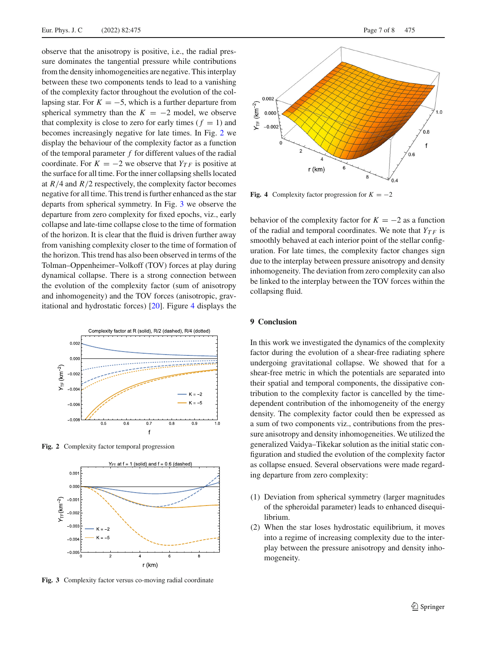observe that the anisotropy is positive, i.e., the radial pressure dominates the tangential pressure while contributions from the density inhomogeneities are negative. This interplay between these two components tends to lead to a vanishing of the complexity factor throughout the evolution of the collapsing star. For  $K = -5$ , which is a further departure from spherical symmetry than the  $K = -2$  model, we observe that complexity is close to zero for early times ( $f = 1$ ) and becomes increasingly negative for late times. In Fig. [2](#page-6-0) we display the behaviour of the complexity factor as a function of the temporal parameter *f* for different values of the radial coordinate. For  $K = -2$  we observe that  $Y_{TF}$  is positive at the surface for all time. For the inner collapsing shells located at *R*/4 and *R*/2 respectively, the complexity factor becomes negative for all time. This trend is further enhanced as the star departs from spherical symmetry. In Fig. [3](#page-6-1) we observe the departure from zero complexity for fixed epochs, viz., early collapse and late-time collapse close to the time of formation of the horizon. It is clear that the fluid is driven further away from vanishing complexity closer to the time of formation of the horizon. This trend has also been observed in terms of the Tolman–Oppenheimer–Volkoff (TOV) forces at play during dynamical collapse. There is a strong connection between the evolution of the complexity factor (sum of anisotropy and inhomogeneity) and the TOV forces (anisotropic, gravitational and hydrostatic forces) [\[20](#page-7-18)]. Figure [4](#page-6-2) displays the



**Fig. 2** Complexity factor temporal progression

<span id="page-6-0"></span>

<span id="page-6-1"></span>**Fig. 3** Complexity factor versus co-moving radial coordinate



<span id="page-6-2"></span>**Fig. 4** Complexity factor progression for  $K = -2$ 

behavior of the complexity factor for  $K = -2$  as a function of the radial and temporal coordinates. We note that  $Y_{TF}$  is smoothly behaved at each interior point of the stellar configuration. For late times, the complexity factor changes sign due to the interplay between pressure anisotropy and density inhomogeneity. The deviation from zero complexity can also be linked to the interplay between the TOV forces within the collapsing fluid.

## **9 Conclusion**

In this work we investigated the dynamics of the complexity factor during the evolution of a shear-free radiating sphere undergoing gravitational collapse. We showed that for a shear-free metric in which the potentials are separated into their spatial and temporal components, the dissipative contribution to the complexity factor is cancelled by the timedependent contribution of the inhomogeneity of the energy density. The complexity factor could then be expressed as a sum of two components viz., contributions from the pressure anisotropy and density inhomogeneities. We utilized the generalized Vaidya–Tikekar solution as the initial static configuration and studied the evolution of the complexity factor as collapse ensued. Several observations were made regarding departure from zero complexity:

- (1) Deviation from spherical symmetry (larger magnitudes of the spheroidal parameter) leads to enhanced disequilibrium.
- (2) When the star loses hydrostatic equilibrium, it moves into a regime of increasing complexity due to the interplay between the pressure anisotropy and density inhomogeneity.